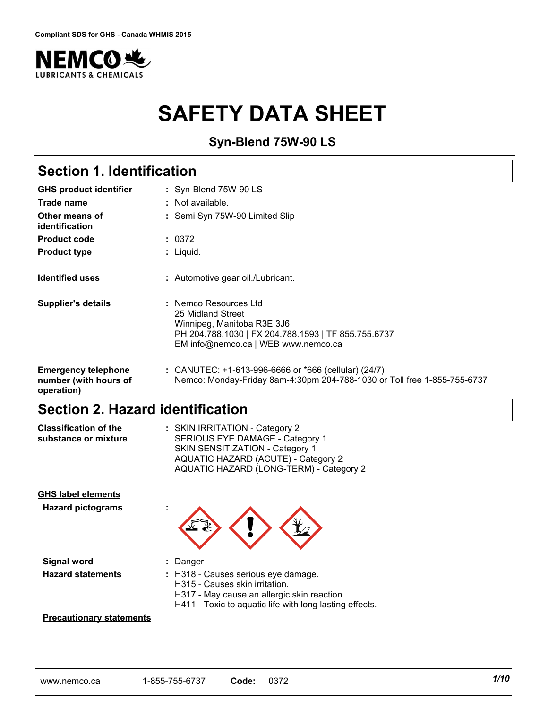

# **SAFETY DATA SHEET**

**Syn-Blend 75W-90 LS**

# **Section 1. Identification**

| <b>GHS product identifier</b>                                     | : Syn-Blend 75W-90 LS                                                                                                                                                  |
|-------------------------------------------------------------------|------------------------------------------------------------------------------------------------------------------------------------------------------------------------|
| Trade name                                                        | $\therefore$ Not available.                                                                                                                                            |
| Other means of<br>identification                                  | : Semi Syn 75W-90 Limited Slip                                                                                                                                         |
| <b>Product code</b>                                               | : 0372                                                                                                                                                                 |
| <b>Product type</b>                                               | : Liquid.                                                                                                                                                              |
| <b>Identified uses</b>                                            | : Automotive gear oil./Lubricant.                                                                                                                                      |
| <b>Supplier's details</b>                                         | : Nemco Resources Ltd<br>25 Midland Street<br>Winnipeg, Manitoba R3E 3J6<br>PH 204.788.1030   FX 204.788.1593   TF 855.755.6737<br>EM info@nemco.ca   WEB www.nemco.ca |
| <b>Emergency telephone</b><br>number (with hours of<br>operation) | : CANUTEC: +1-613-996-6666 or *666 (cellular) (24/7)<br>Nemco: Monday-Friday 8am-4:30pm 204-788-1030 or Toll free 1-855-755-6737                                       |

### **Section 2. Hazard identification**

| <b>Classification of the</b> | : SKIN IRRITATION - Category 2          |
|------------------------------|-----------------------------------------|
| substance or mixture         | SERIOUS EYE DAMAGE - Category 1         |
|                              | SKIN SENSITIZATION - Category 1         |
|                              | AQUATIC HAZARD (ACUTE) - Category 2     |
|                              | AQUATIC HAZARD (LONG-TERM) - Category 2 |
|                              |                                         |

| <b>GHS label elements</b><br><b>Hazard pictograms</b> |                                                                                                                                                                                 |
|-------------------------------------------------------|---------------------------------------------------------------------------------------------------------------------------------------------------------------------------------|
| <b>Signal word</b>                                    | Danger                                                                                                                                                                          |
| <b>Hazard statements</b>                              | : H318 - Causes serious eye damage.<br>H315 - Causes skin irritation.<br>H317 - May cause an allergic skin reaction.<br>H411 - Toxic to aquatic life with long lasting effects. |

#### **Precautionary statements**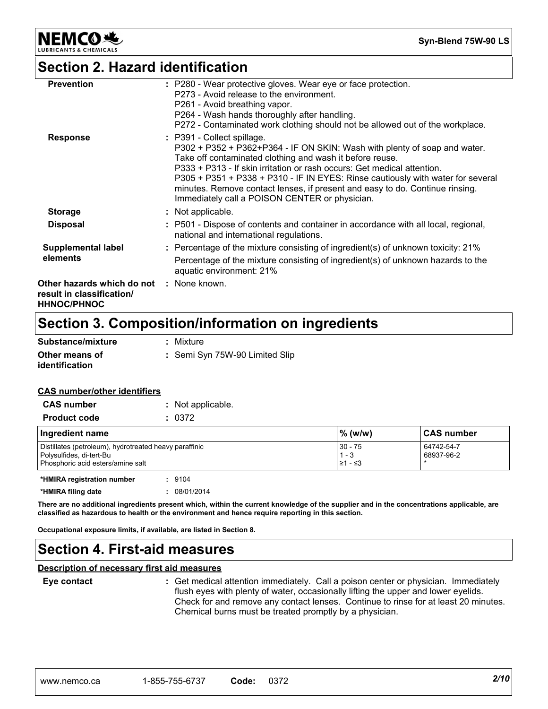

**Syn-Blend 75W-90 LS**

### **Section 2. Hazard identification**

| <b>Other hazards which do not : None known.</b><br>result in classification/<br><b>HHNOC/PHNOC</b> |                                                                                                                                                                                                                                                                                                                                                                                                                                                                     |
|----------------------------------------------------------------------------------------------------|---------------------------------------------------------------------------------------------------------------------------------------------------------------------------------------------------------------------------------------------------------------------------------------------------------------------------------------------------------------------------------------------------------------------------------------------------------------------|
| elements                                                                                           | Percentage of the mixture consisting of ingredient(s) of unknown hazards to the<br>aquatic environment: 21%                                                                                                                                                                                                                                                                                                                                                         |
| <b>Supplemental label</b>                                                                          | : Percentage of the mixture consisting of ingredient(s) of unknown toxicity: 21%                                                                                                                                                                                                                                                                                                                                                                                    |
| <b>Disposal</b>                                                                                    | : P501 - Dispose of contents and container in accordance with all local, regional,<br>national and international regulations.                                                                                                                                                                                                                                                                                                                                       |
| <b>Storage</b>                                                                                     | : Not applicable.                                                                                                                                                                                                                                                                                                                                                                                                                                                   |
| <b>Response</b>                                                                                    | : P391 - Collect spillage.<br>P302 + P352 + P362+P364 - IF ON SKIN: Wash with plenty of soap and water.<br>Take off contaminated clothing and wash it before reuse.<br>P333 + P313 - If skin irritation or rash occurs: Get medical attention.<br>P305 + P351 + P338 + P310 - IF IN EYES: Rinse cautiously with water for several<br>minutes. Remove contact lenses, if present and easy to do. Continue rinsing.<br>Immediately call a POISON CENTER or physician. |
| <b>Prevention</b>                                                                                  | : P280 - Wear protective gloves. Wear eye or face protection.<br>P273 - Avoid release to the environment.<br>P261 - Avoid breathing vapor.<br>P264 - Wash hands thoroughly after handling.<br>P272 - Contaminated work clothing should not be allowed out of the workplace.                                                                                                                                                                                         |

### **Section 3. Composition/information on ingredients**

| Substance/mixture                       | : Mixture                      |
|-----------------------------------------|--------------------------------|
| Other means of<br><b>identification</b> | : Semi Syn 75W-90 Limited Slip |

#### **CAS number/other identifiers**

| <b>CAS number</b>                                                                                                       | : Not applicable. |                                           |                          |
|-------------------------------------------------------------------------------------------------------------------------|-------------------|-------------------------------------------|--------------------------|
| <b>Product code</b>                                                                                                     | : 0372            |                                           |                          |
| Ingredient name                                                                                                         |                   | % (w/w)                                   | <b>CAS number</b>        |
| Distillates (petroleum), hydrotreated heavy paraffinic<br>Polysulfides, di-tert-Bu<br>Phosphoric acid esters/amine salt |                   | $30 - 75$<br>$1 - 3$<br>$\geq 1 - \leq 3$ | 64742-54-7<br>68937-96-2 |
| *HMIRA registration number                                                                                              | : 9104            |                                           |                          |
| *HMIRA filing date                                                                                                      | 08/01/2014        |                                           |                          |

**There are no additional ingredients present which, within the current knowledge of the supplier and in the concentrations applicable, are classified as hazardous to health or the environment and hence require reporting in this section.**

**Occupational exposure limits, if available, are listed in Section 8.**

### **Section 4. First-aid measures**

#### **Description of necessary first aid measures**

**Eye contact :**

Get medical attention immediately. Call a poison center or physician. Immediately flush eyes with plenty of water, occasionally lifting the upper and lower eyelids. Check for and remove any contact lenses. Continue to rinse for at least 20 minutes. Chemical burns must be treated promptly by a physician.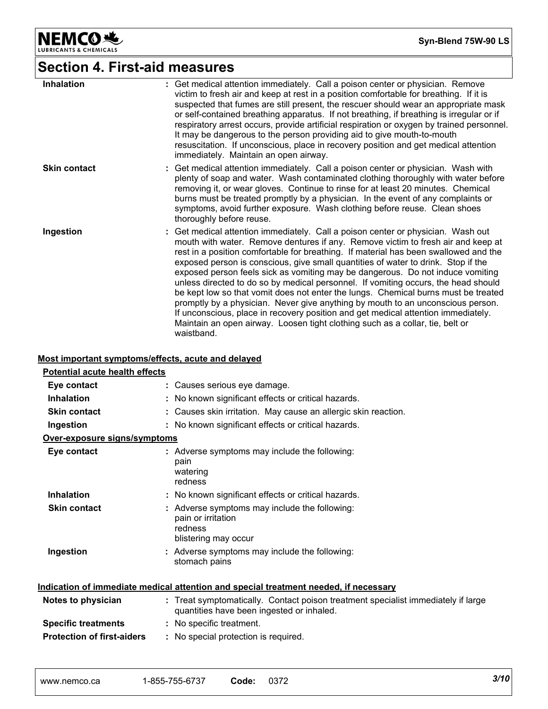

# **Section 4. First-aid measures**

| <b>Inhalation</b>   | : Get medical attention immediately. Call a poison center or physician. Remove<br>victim to fresh air and keep at rest in a position comfortable for breathing. If it is<br>suspected that fumes are still present, the rescuer should wear an appropriate mask<br>or self-contained breathing apparatus. If not breathing, if breathing is irregular or if<br>respiratory arrest occurs, provide artificial respiration or oxygen by trained personnel.<br>It may be dangerous to the person providing aid to give mouth-to-mouth<br>resuscitation. If unconscious, place in recovery position and get medical attention<br>immediately. Maintain an open airway.                                                                                                                                                                                                                     |
|---------------------|----------------------------------------------------------------------------------------------------------------------------------------------------------------------------------------------------------------------------------------------------------------------------------------------------------------------------------------------------------------------------------------------------------------------------------------------------------------------------------------------------------------------------------------------------------------------------------------------------------------------------------------------------------------------------------------------------------------------------------------------------------------------------------------------------------------------------------------------------------------------------------------|
| <b>Skin contact</b> | : Get medical attention immediately. Call a poison center or physician. Wash with<br>plenty of soap and water. Wash contaminated clothing thoroughly with water before<br>removing it, or wear gloves. Continue to rinse for at least 20 minutes. Chemical<br>burns must be treated promptly by a physician. In the event of any complaints or<br>symptoms, avoid further exposure. Wash clothing before reuse. Clean shoes<br>thoroughly before reuse.                                                                                                                                                                                                                                                                                                                                                                                                                                |
| Ingestion           | : Get medical attention immediately. Call a poison center or physician. Wash out<br>mouth with water. Remove dentures if any. Remove victim to fresh air and keep at<br>rest in a position comfortable for breathing. If material has been swallowed and the<br>exposed person is conscious, give small quantities of water to drink. Stop if the<br>exposed person feels sick as vomiting may be dangerous. Do not induce vomiting<br>unless directed to do so by medical personnel. If vomiting occurs, the head should<br>be kept low so that vomit does not enter the lungs. Chemical burns must be treated<br>promptly by a physician. Never give anything by mouth to an unconscious person.<br>If unconscious, place in recovery position and get medical attention immediately.<br>Maintain an open airway. Loosen tight clothing such as a collar, tie, belt or<br>waistband. |

#### **Most important symptoms/effects, acute and delayed**

| <b>Potential acute health effects</b> |                                                                                                                                |
|---------------------------------------|--------------------------------------------------------------------------------------------------------------------------------|
| Eye contact                           | : Causes serious eye damage.                                                                                                   |
| <b>Inhalation</b>                     | : No known significant effects or critical hazards.                                                                            |
| <b>Skin contact</b>                   | : Causes skin irritation. May cause an allergic skin reaction.                                                                 |
| Ingestion                             | : No known significant effects or critical hazards.                                                                            |
| Over-exposure signs/symptoms          |                                                                                                                                |
| Eye contact                           | : Adverse symptoms may include the following:<br>pain<br>watering<br>redness                                                   |
| <b>Inhalation</b>                     | : No known significant effects or critical hazards.                                                                            |
| <b>Skin contact</b>                   | : Adverse symptoms may include the following:<br>pain or irritation<br>redness<br>blistering may occur                         |
| Ingestion                             | : Adverse symptoms may include the following:<br>stomach pains                                                                 |
|                                       | Indication of immediate medical attention and special treatment needed, if necessary                                           |
| Notes to physician                    | : Treat symptomatically. Contact poison treatment specialist immediately if large<br>quantities have been ingested or inhaled. |
| <b>Specific treatments</b>            | : No specific treatment.                                                                                                       |
| <b>Protection of first-aiders</b>     | : No special protection is required.                                                                                           |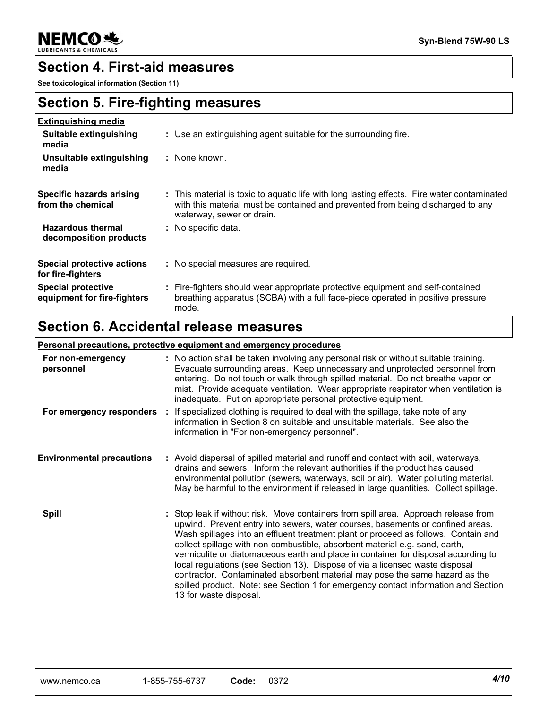**NEMCO头** & CHEMICALS

**Syn-Blend 75W-90 LS**

#### **Section 4. First-aid measures**

**See toxicological information (Section 11)**

#### **Section 5. Fire-fighting measures**

| <b>Extinguishing media</b>                               |                                                                                                                                                                                                             |
|----------------------------------------------------------|-------------------------------------------------------------------------------------------------------------------------------------------------------------------------------------------------------------|
| Suitable extinguishing<br>media                          | : Use an extinguishing agent suitable for the surrounding fire.                                                                                                                                             |
| Unsuitable extinguishing<br>media                        | : None known.                                                                                                                                                                                               |
| Specific hazards arising<br>from the chemical            | : This material is toxic to aguatic life with long lasting effects. Fire water contaminated<br>with this material must be contained and prevented from being discharged to any<br>waterway, sewer or drain. |
| <b>Hazardous thermal</b><br>decomposition products       | : No specific data.                                                                                                                                                                                         |
| <b>Special protective actions</b><br>for fire-fighters   | : No special measures are required.                                                                                                                                                                         |
| <b>Special protective</b><br>equipment for fire-fighters | : Fire-fighters should wear appropriate protective equipment and self-contained<br>breathing apparatus (SCBA) with a full face-piece operated in positive pressure<br>mode.                                 |

### **Section 6. Accidental release measures**

#### **Personal precautions, protective equipment and emergency procedures**

| For non-emergency<br>personnel   | : No action shall be taken involving any personal risk or without suitable training.<br>Evacuate surrounding areas. Keep unnecessary and unprotected personnel from<br>entering. Do not touch or walk through spilled material. Do not breathe vapor or<br>mist. Provide adequate ventilation. Wear appropriate respirator when ventilation is<br>inadequate. Put on appropriate personal protective equipment.                                                                                                                                                                                                                                                                                                 |  |
|----------------------------------|-----------------------------------------------------------------------------------------------------------------------------------------------------------------------------------------------------------------------------------------------------------------------------------------------------------------------------------------------------------------------------------------------------------------------------------------------------------------------------------------------------------------------------------------------------------------------------------------------------------------------------------------------------------------------------------------------------------------|--|
| For emergency responders         | If specialized clothing is required to deal with the spillage, take note of any<br>information in Section 8 on suitable and unsuitable materials. See also the<br>information in "For non-emergency personnel".                                                                                                                                                                                                                                                                                                                                                                                                                                                                                                 |  |
| <b>Environmental precautions</b> | : Avoid dispersal of spilled material and runoff and contact with soil, waterways,<br>drains and sewers. Inform the relevant authorities if the product has caused<br>environmental pollution (sewers, waterways, soil or air). Water polluting material.<br>May be harmful to the environment if released in large quantities. Collect spillage.                                                                                                                                                                                                                                                                                                                                                               |  |
| <b>Spill</b>                     | : Stop leak if without risk. Move containers from spill area. Approach release from<br>upwind. Prevent entry into sewers, water courses, basements or confined areas.<br>Wash spillages into an effluent treatment plant or proceed as follows. Contain and<br>collect spillage with non-combustible, absorbent material e.g. sand, earth,<br>vermiculite or diatomaceous earth and place in container for disposal according to<br>local regulations (see Section 13). Dispose of via a licensed waste disposal<br>contractor. Contaminated absorbent material may pose the same hazard as the<br>spilled product. Note: see Section 1 for emergency contact information and Section<br>13 for waste disposal. |  |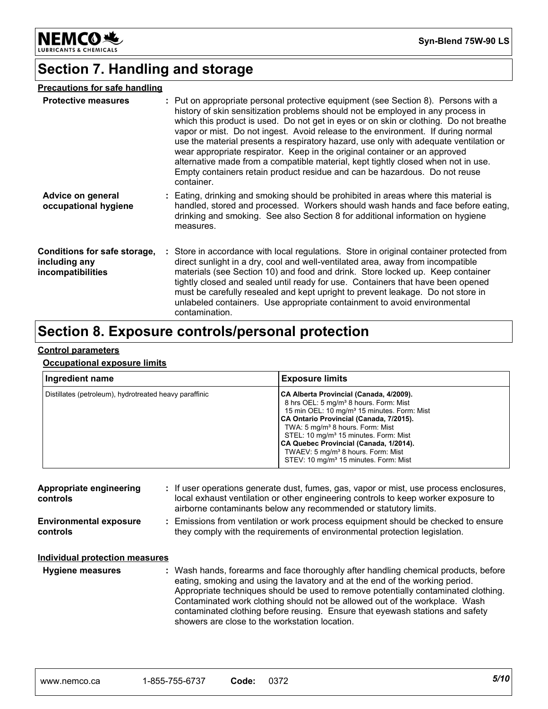

### **Section 7. Handling and storage**

| <b>Precautions for safe handling</b>                               |                                                                                                                                                                                                                                                                                                                                                                                                                                                                                                                                                                                                                                                                                                            |
|--------------------------------------------------------------------|------------------------------------------------------------------------------------------------------------------------------------------------------------------------------------------------------------------------------------------------------------------------------------------------------------------------------------------------------------------------------------------------------------------------------------------------------------------------------------------------------------------------------------------------------------------------------------------------------------------------------------------------------------------------------------------------------------|
| <b>Protective measures</b>                                         | : Put on appropriate personal protective equipment (see Section 8). Persons with a<br>history of skin sensitization problems should not be employed in any process in<br>which this product is used. Do not get in eyes or on skin or clothing. Do not breathe<br>vapor or mist. Do not ingest. Avoid release to the environment. If during normal<br>use the material presents a respiratory hazard, use only with adequate ventilation or<br>wear appropriate respirator. Keep in the original container or an approved<br>alternative made from a compatible material, kept tightly closed when not in use.<br>Empty containers retain product residue and can be hazardous. Do not reuse<br>container. |
| Advice on general<br>occupational hygiene                          | : Eating, drinking and smoking should be prohibited in areas where this material is<br>handled, stored and processed. Workers should wash hands and face before eating,<br>drinking and smoking. See also Section 8 for additional information on hygiene<br>measures.                                                                                                                                                                                                                                                                                                                                                                                                                                     |
| Conditions for safe storage,<br>including any<br>incompatibilities | : Store in accordance with local regulations. Store in original container protected from<br>direct sunlight in a dry, cool and well-ventilated area, away from incompatible<br>materials (see Section 10) and food and drink. Store locked up. Keep container<br>tightly closed and sealed until ready for use. Containers that have been opened<br>must be carefully resealed and kept upright to prevent leakage. Do not store in<br>unlabeled containers. Use appropriate containment to avoid environmental<br>contamination.                                                                                                                                                                          |

### **Section 8. Exposure controls/personal protection**

#### **Control parameters**

#### **Occupational exposure limits**

| Ingredient name                                        | <b>Exposure limits</b>                                                                                                                                                                                                                                                                                                                                                                                                                                    |
|--------------------------------------------------------|-----------------------------------------------------------------------------------------------------------------------------------------------------------------------------------------------------------------------------------------------------------------------------------------------------------------------------------------------------------------------------------------------------------------------------------------------------------|
| Distillates (petroleum), hydrotreated heavy paraffinic | CA Alberta Provincial (Canada, 4/2009).<br>8 hrs OEL: 5 mg/m <sup>3</sup> 8 hours. Form: Mist<br>15 min OEL: 10 mg/m <sup>3</sup> 15 minutes. Form: Mist<br>CA Ontario Provincial (Canada, 7/2015).<br>TWA: 5 mg/m <sup>3</sup> 8 hours. Form: Mist<br>STEL: 10 mg/m <sup>3</sup> 15 minutes. Form: Mist<br>CA Quebec Provincial (Canada, 1/2014).<br>TWAEV: 5 mg/m <sup>3</sup> 8 hours. Form: Mist<br>STEV: 10 mg/m <sup>3</sup> 15 minutes. Form: Mist |

| Appropriate engineering<br>controls       | : If user operations generate dust, fumes, gas, vapor or mist, use process enclosures,<br>local exhaust ventilation or other engineering controls to keep worker exposure to<br>airborne contaminants below any recommended or statutory limits.                                                                                         |
|-------------------------------------------|------------------------------------------------------------------------------------------------------------------------------------------------------------------------------------------------------------------------------------------------------------------------------------------------------------------------------------------|
| <b>Environmental exposure</b><br>controls | : Emissions from ventilation or work process equipment should be checked to ensure<br>they comply with the requirements of environmental protection legislation.                                                                                                                                                                         |
| <b>Individual protection measures</b>     |                                                                                                                                                                                                                                                                                                                                          |
| <b>Hygiene measures</b>                   | : Wash hands, forearms and face thoroughly after handling chemical products, before<br>eating, smoking and using the lavatory and at the end of the working period.<br>Appropriate techniques should be used to remove potentially contaminated clothing.<br>Contaminated work clothing should not be allowed out of the workplace. Wash |

showers are close to the workstation location.

contaminated clothing before reusing. Ensure that eyewash stations and safety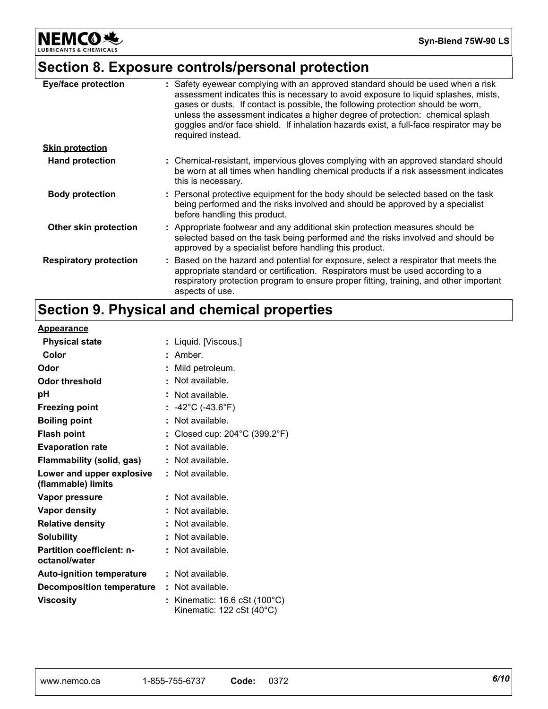**NEMCO头** LUBRICANTS & CHEMICALS

### **Section 8. Exposure controls/personal protection**

| <b>Eye/face protection</b>    | : Safety eyewear complying with an approved standard should be used when a risk<br>assessment indicates this is necessary to avoid exposure to liquid splashes, mists,<br>gases or dusts. If contact is possible, the following protection should be worn,<br>unless the assessment indicates a higher degree of protection: chemical splash<br>goggles and/or face shield. If inhalation hazards exist, a full-face respirator may be<br>required instead. |
|-------------------------------|-------------------------------------------------------------------------------------------------------------------------------------------------------------------------------------------------------------------------------------------------------------------------------------------------------------------------------------------------------------------------------------------------------------------------------------------------------------|
| <b>Skin protection</b>        |                                                                                                                                                                                                                                                                                                                                                                                                                                                             |
| <b>Hand protection</b>        | : Chemical-resistant, impervious gloves complying with an approved standard should<br>be worn at all times when handling chemical products if a risk assessment indicates<br>this is necessary.                                                                                                                                                                                                                                                             |
| <b>Body protection</b>        | : Personal protective equipment for the body should be selected based on the task<br>being performed and the risks involved and should be approved by a specialist<br>before handling this product.                                                                                                                                                                                                                                                         |
| Other skin protection         | : Appropriate footwear and any additional skin protection measures should be<br>selected based on the task being performed and the risks involved and should be<br>approved by a specialist before handling this product.                                                                                                                                                                                                                                   |
| <b>Respiratory protection</b> | : Based on the hazard and potential for exposure, select a respirator that meets the<br>appropriate standard or certification. Respirators must be used according to a<br>respiratory protection program to ensure proper fitting, training, and other important<br>aspects of use.                                                                                                                                                                         |

# **Section 9. Physical and chemical properties**

#### **Appearance**

| <b>Physical state</b>                             |    | : Liquid. [Viscous.]                                                                  |
|---------------------------------------------------|----|---------------------------------------------------------------------------------------|
| Color                                             |    | Amber.                                                                                |
| Odor                                              |    | Mild petroleum.                                                                       |
| <b>Odor threshold</b>                             |    | Not available.                                                                        |
| рH                                                |    | Not available.                                                                        |
| <b>Freezing point</b>                             |    | $-42^{\circ}$ C (-43.6 $^{\circ}$ F)                                                  |
| <b>Boiling point</b>                              | t. | Not available.                                                                        |
| <b>Flash point</b>                                |    | Closed cup: 204°C (399.2°F)                                                           |
| <b>Evaporation rate</b>                           |    | Not available.                                                                        |
| Flammability (solid, gas)                         |    | Not available.                                                                        |
| Lower and upper explosive<br>(flammable) limits   |    | : Not available.                                                                      |
| Vapor pressure                                    |    | Not available.                                                                        |
| <b>Vapor density</b>                              |    | Not available.                                                                        |
| <b>Relative density</b>                           |    | Not available.                                                                        |
| <b>Solubility</b>                                 |    | Not available.                                                                        |
| <b>Partition coefficient: n-</b><br>octanol/water |    | Not available.                                                                        |
| Auto-ignition temperature                         |    | $\therefore$ Not available.                                                           |
| <b>Decomposition temperature</b>                  |    | : Not available.                                                                      |
| <b>Viscosity</b>                                  |    | Kinematic: $16.6 \text{ cSt}$ ( $100^{\circ} \text{C}$ )<br>Kinematic: 122 cSt (40°C) |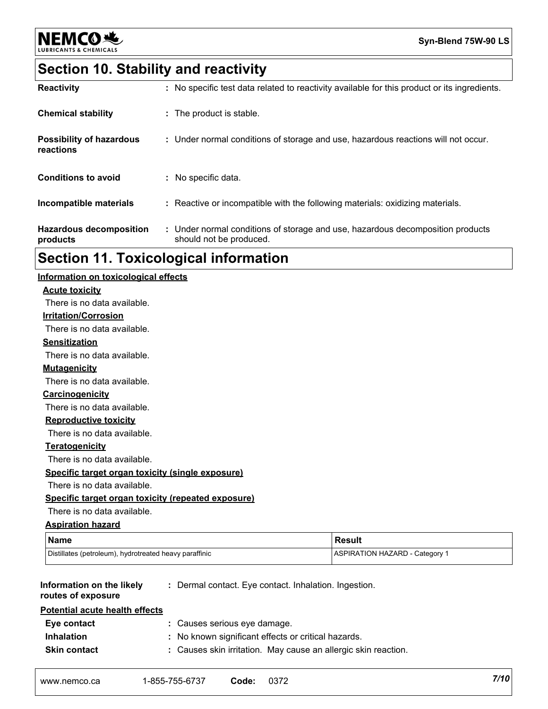

## **Section 10. Stability and reactivity**

| <b>Reactivity</b>                            | : No specific test data related to reactivity available for this product or its ingredients.              |
|----------------------------------------------|-----------------------------------------------------------------------------------------------------------|
| <b>Chemical stability</b>                    | : The product is stable.                                                                                  |
| <b>Possibility of hazardous</b><br>reactions | : Under normal conditions of storage and use, hazardous reactions will not occur.                         |
| <b>Conditions to avoid</b>                   | : No specific data.                                                                                       |
| Incompatible materials                       | : Reactive or incompatible with the following materials: oxidizing materials.                             |
| <b>Hazardous decomposition</b><br>products   | : Under normal conditions of storage and use, hazardous decomposition products<br>should not be produced. |

### **Section 11. Toxicological information**

| Information on toxicological effects                   |                                                                |                                       |      |
|--------------------------------------------------------|----------------------------------------------------------------|---------------------------------------|------|
| <b>Acute toxicity</b>                                  |                                                                |                                       |      |
| There is no data available.                            |                                                                |                                       |      |
| <b>Irritation/Corrosion</b>                            |                                                                |                                       |      |
| There is no data available.                            |                                                                |                                       |      |
| <b>Sensitization</b>                                   |                                                                |                                       |      |
| There is no data available.                            |                                                                |                                       |      |
| <b>Mutagenicity</b>                                    |                                                                |                                       |      |
| There is no data available.                            |                                                                |                                       |      |
| Carcinogenicity                                        |                                                                |                                       |      |
| There is no data available.                            |                                                                |                                       |      |
| <b>Reproductive toxicity</b>                           |                                                                |                                       |      |
| There is no data available.                            |                                                                |                                       |      |
| <b>Teratogenicity</b>                                  |                                                                |                                       |      |
| There is no data available.                            |                                                                |                                       |      |
| Specific target organ toxicity (single exposure)       |                                                                |                                       |      |
| There is no data available.                            |                                                                |                                       |      |
|                                                        | Specific target organ toxicity (repeated exposure)             |                                       |      |
| There is no data available.                            |                                                                |                                       |      |
| <b>Aspiration hazard</b>                               |                                                                |                                       |      |
| <b>Name</b>                                            |                                                                | <b>Result</b>                         |      |
| Distillates (petroleum), hydrotreated heavy paraffinic |                                                                | <b>ASPIRATION HAZARD - Category 1</b> |      |
| Information on the likely<br>routes of exposure        | : Dermal contact. Eye contact. Inhalation. Ingestion.          |                                       |      |
| <b>Potential acute health effects</b>                  |                                                                |                                       |      |
| Eye contact                                            | : Causes serious eye damage.                                   |                                       |      |
| <b>Inhalation</b>                                      | : No known significant effects or critical hazards.            |                                       |      |
| <b>Skin contact</b>                                    | : Causes skin irritation. May cause an allergic skin reaction. |                                       |      |
| www.nemco.ca                                           | 1-855-755-6737<br>0372<br>Code:                                |                                       | 7/10 |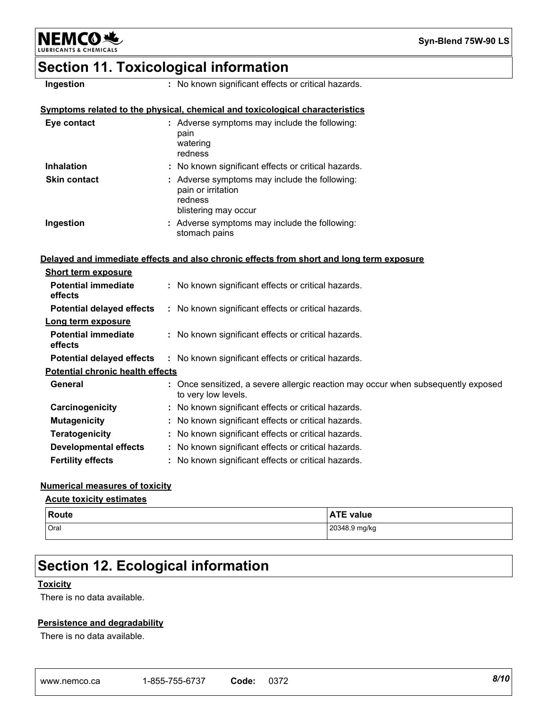

### **Section 11. Toxicological information**

| Ingestion                               | : No known significant effects or critical hazards.                                                      |
|-----------------------------------------|----------------------------------------------------------------------------------------------------------|
|                                         | Symptoms related to the physical, chemical and toxicological characteristics                             |
| Eye contact                             | : Adverse symptoms may include the following:<br>pain<br>watering<br>redness                             |
| <b>Inhalation</b>                       | : No known significant effects or critical hazards.                                                      |
| <b>Skin contact</b>                     | : Adverse symptoms may include the following:<br>pain or irritation<br>redness<br>blistering may occur   |
| Ingestion                               | : Adverse symptoms may include the following:<br>stomach pains                                           |
|                                         | Delayed and immediate effects and also chronic effects from short and long term exposure                 |
| <b>Short term exposure</b>              |                                                                                                          |
| <b>Potential immediate</b><br>effects   | : No known significant effects or critical hazards.                                                      |
| <b>Potential delayed effects</b>        | : No known significant effects or critical hazards.                                                      |
| Long term exposure                      |                                                                                                          |
| <b>Potential immediate</b><br>effects   | : No known significant effects or critical hazards.                                                      |
| <b>Potential delayed effects</b>        | : No known significant effects or critical hazards.                                                      |
| <b>Potential chronic health effects</b> |                                                                                                          |
| General                                 | : Once sensitized, a severe allergic reaction may occur when subsequently exposed<br>to very low levels. |
| Carcinogenicity                         | : No known significant effects or critical hazards.                                                      |
| <b>Mutagenicity</b>                     | : No known significant effects or critical hazards.                                                      |
| <b>Teratogenicity</b>                   | : No known significant effects or critical hazards.                                                      |
| <b>Developmental effects</b>            | : No known significant effects or critical hazards.                                                      |
| <b>Fertility effects</b>                | : No known significant effects or critical hazards.                                                      |

#### **Numerical measures of toxicity**

#### **Acute toxicity estimates**

| Route | <b>ATE</b>    |
|-------|---------------|
| .     | TE value      |
| Oral  | 20348.9 mg/kg |

### **Section 12. Ecological information**

#### **Toxicity**

There is no data available.

#### **Persistence and degradability**

There is no data available.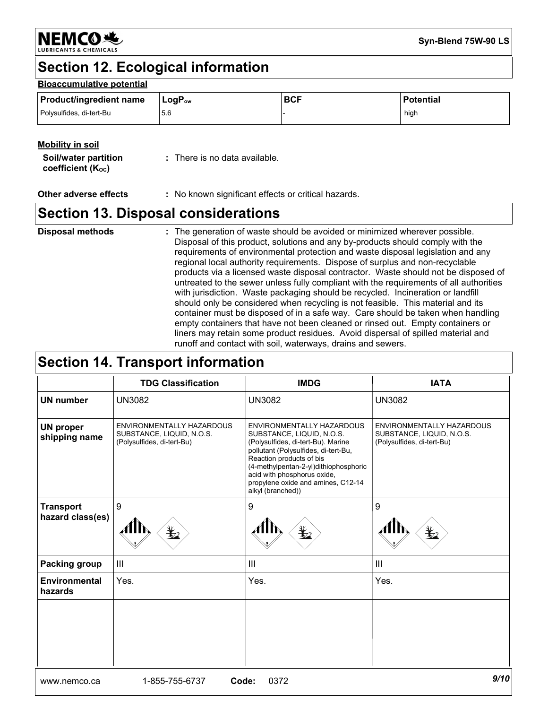**NEMCO头** 

### **Section 12. Ecological information**

#### **Bioaccumulative potential**

| <b>Product/ingredient name</b> | $LogP_{ow}$ | <b>BCF</b> | <b>Potential</b> |
|--------------------------------|-------------|------------|------------------|
| Polysulfides, di-tert-Bu       | 5.6         |            | high             |

#### **Mobility in soil**

| Soil/water partition           | : There is no data available. |
|--------------------------------|-------------------------------|
| coefficient (K <sub>oc</sub> ) |                               |

**Other adverse effects :** No known significant effects or critical hazards.

### **Section 13. Disposal considerations**

The generation of waste should be avoided or minimized wherever possible. Disposal of this product, solutions and any by-products should comply with the requirements of environmental protection and waste disposal legislation and any regional local authority requirements. Dispose of surplus and non-recyclable products via a licensed waste disposal contractor. Waste should not be disposed of untreated to the sewer unless fully compliant with the requirements of all authorities with jurisdiction. Waste packaging should be recycled. Incineration or landfill should only be considered when recycling is not feasible. This material and its container must be disposed of in a safe way. Care should be taken when handling empty containers that have not been cleaned or rinsed out. Empty containers or liners may retain some product residues. Avoid dispersal of spilled material and runoff and contact with soil, waterways, drains and sewers. **Disposal methods :**

### **Section 14. Transport information**

|                                      | <b>TDG Classification</b>                                                            | <b>IMDG</b>                                                                                                                                                                                                                                                                                         | <b>IATA</b>                                                                          |
|--------------------------------------|--------------------------------------------------------------------------------------|-----------------------------------------------------------------------------------------------------------------------------------------------------------------------------------------------------------------------------------------------------------------------------------------------------|--------------------------------------------------------------------------------------|
| <b>UN number</b>                     | <b>UN3082</b>                                                                        | <b>UN3082</b>                                                                                                                                                                                                                                                                                       | <b>UN3082</b>                                                                        |
| <b>UN proper</b><br>shipping name    | ENVIRONMENTALLY HAZARDOUS<br>SUBSTANCE, LIQUID, N.O.S.<br>(Polysulfides, di-tert-Bu) | ENVIRONMENTALLY HAZARDOUS<br>SUBSTANCE, LIQUID, N.O.S.<br>(Polysulfides, di-tert-Bu). Marine<br>pollutant (Polysulfides, di-tert-Bu,<br>Reaction products of bis<br>(4-methylpentan-2-yl)dithiophosphoric<br>acid with phosphorus oxide,<br>propylene oxide and amines, C12-14<br>alkyl (branched)) | ENVIRONMENTALLY HAZARDOUS<br>SUBSTANCE, LIQUID, N.O.S.<br>(Polysulfides, di-tert-Bu) |
| <b>Transport</b><br>hazard class(es) | 9<br>$\bigstar$                                                                      | 9                                                                                                                                                                                                                                                                                                   | 9<br>⊁                                                                               |
| Packing group                        | III                                                                                  | $\mathbf{III}$                                                                                                                                                                                                                                                                                      | $\mathbf{III}$                                                                       |
| Environmental<br>hazards             | Yes.                                                                                 | Yes.                                                                                                                                                                                                                                                                                                | Yes.                                                                                 |
|                                      |                                                                                      |                                                                                                                                                                                                                                                                                                     |                                                                                      |
|                                      |                                                                                      |                                                                                                                                                                                                                                                                                                     |                                                                                      |